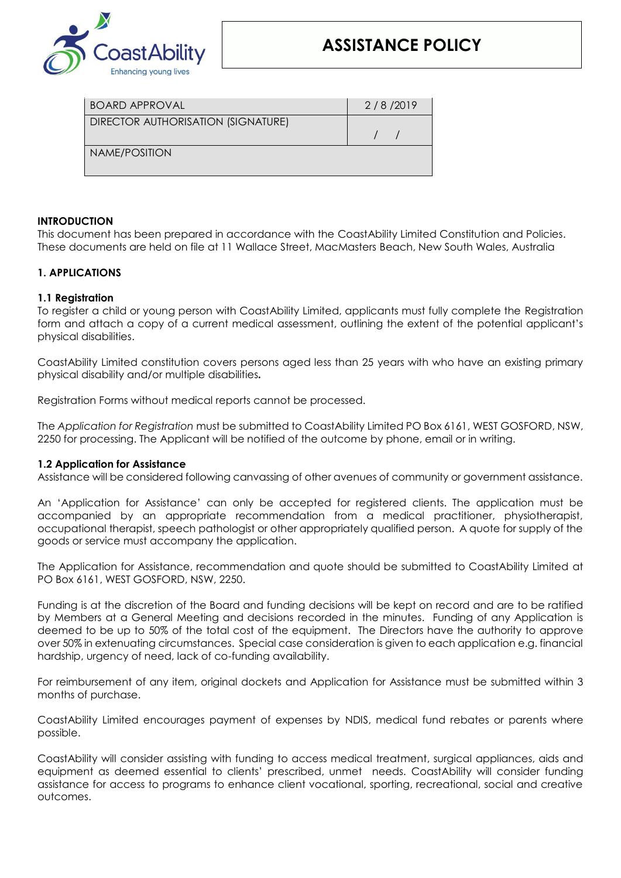

# **ASSISTANCE POLICY**

| <b>BOARD APPROVAL</b>              | 2/8/2019 |
|------------------------------------|----------|
| DIRECTOR AUTHORISATION (SIGNATURE) |          |
| NAME/POSITION                      |          |
|                                    |          |

### **INTRODUCTION**

This document has been prepared in accordance with the CoastAbility Limited Constitution and Policies. These documents are held on file at 11 Wallace Street, MacMasters Beach, New South Wales, Australia

### **1. APPLICATIONS**

### **1.1 Registration**

To register a child or young person with CoastAbility Limited, applicants must fully complete the Registration form and attach a copy of a current medical assessment, outlining the extent of the potential applicant's physical disabilities.

CoastAbility Limited constitution covers persons aged less than 25 years with who have an existing primary physical disability and/or multiple disabilities*.* 

Registration Forms without medical reports cannot be processed.

The *Application for Registration* must be submitted to CoastAbility Limited PO Box 6161, WEST GOSFORD, NSW, 2250 for processing. The Applicant will be notified of the outcome by phone, email or in writing.

#### **1.2 Application for Assistance**

Assistance will be considered following canvassing of other avenues of community or government assistance.

An 'Application for Assistance' can only be accepted for registered clients. The application must be accompanied by an appropriate recommendation from a medical practitioner, physiotherapist, occupational therapist, speech pathologist or other appropriately qualified person. A quote for supply of the goods or service must accompany the application.

The Application for Assistance, recommendation and quote should be submitted to CoastAbility Limited at PO Box 6161, WEST GOSFORD, NSW, 2250.

Funding is at the discretion of the Board and funding decisions will be kept on record and are to be ratified by Members at a General Meeting and decisions recorded in the minutes. Funding of any Application is deemed to be up to 50% of the total cost of the equipment. The Directors have the authority to approve over 50% in extenuating circumstances. Special case consideration is given to each application e.g. financial hardship, urgency of need, lack of co-funding availability.

For reimbursement of any item, original dockets and Application for Assistance must be submitted within 3 months of purchase.

CoastAbility Limited encourages payment of expenses by NDIS, medical fund rebates or parents where possible.

CoastAbility will consider assisting with funding to access medical treatment, surgical appliances, aids and equipment as deemed essential to clients' prescribed, unmet needs. CoastAbility will consider funding assistance for access to programs to enhance client vocational, sporting, recreational, social and creative outcomes.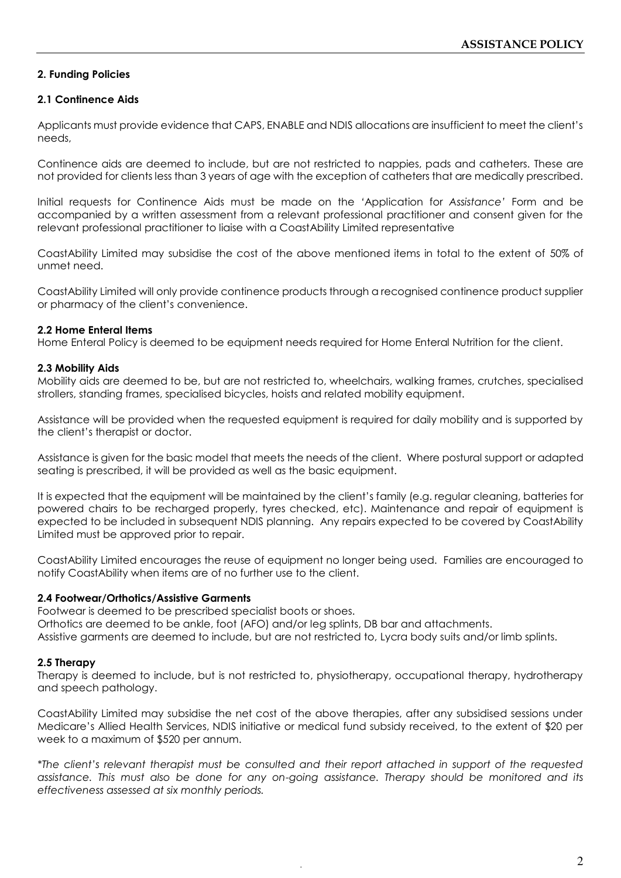# **2. Funding Policies**

## **2.1 Continence Aids**

Applicants must provide evidence that CAPS, ENABLE and NDIS allocations are insufficient to meet the client's needs,

Continence aids are deemed to include, but are not restricted to nappies, pads and catheters. These are not provided for clients less than 3 years of age with the exception of catheters that are medically prescribed.

Initial requests for Continence Aids must be made on the *'*Application for *Assistance'* Form and be accompanied by a written assessment from a relevant professional practitioner and consent given for the relevant professional practitioner to liaise with a CoastAbility Limited representative

CoastAbility Limited may subsidise the cost of the above mentioned items in total to the extent of 50% of unmet need.

CoastAbility Limited will only provide continence products through a recognised continence product supplier or pharmacy of the client's convenience.

### **2.2 Home Enteral Items**

Home Enteral Policy is deemed to be equipment needs required for Home Enteral Nutrition for the client.

### **2.3 Mobility Aids**

Mobility aids are deemed to be, but are not restricted to, wheelchairs, walking frames, crutches, specialised strollers, standing frames, specialised bicycles, hoists and related mobility equipment.

Assistance will be provided when the requested equipment is required for daily mobility and is supported by the client's therapist or doctor.

Assistance is given for the basic model that meets the needs of the client. Where postural support or adapted seating is prescribed, it will be provided as well as the basic equipment.

It is expected that the equipment will be maintained by the client's family (e.g. regular cleaning, batteries for powered chairs to be recharged properly, tyres checked, etc). Maintenance and repair of equipment is expected to be included in subsequent NDIS planning. Any repairs expected to be covered by CoastAbility Limited must be approved prior to repair.

CoastAbility Limited encourages the reuse of equipment no longer being used. Families are encouraged to notify CoastAbility when items are of no further use to the client.

## **2.4 Footwear/Orthotics/Assistive Garments**

Footwear is deemed to be prescribed specialist boots or shoes. Orthotics are deemed to be ankle, foot (AFO) and/or leg splints, DB bar and attachments. Assistive garments are deemed to include, but are not restricted to, Lycra body suits and/or limb splints.

## **2.5 Therapy**

Therapy is deemed to include, but is not restricted to, physiotherapy, occupational therapy, hydrotherapy and speech pathology.

CoastAbility Limited may subsidise the net cost of the above therapies, after any subsidised sessions under Medicare's Allied Health Services, NDIS initiative or medical fund subsidy received, to the extent of \$20 per week to a maximum of \$520 per annum.

*\*The client's relevant therapist must be consulted and their report attached in support of the requested assistance. This must also be done for any on-going assistance. Therapy should be monitored and its effectiveness assessed at six monthly periods.*